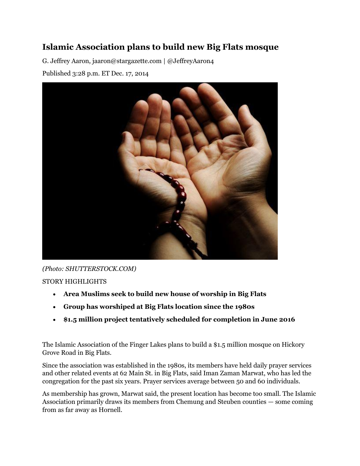## **Islamic Association plans to build new Big Flats mosque**

G. Jeffrey Aaron, jaaron@stargazette.com | @JeffreyAaron4

Published 3:28 p.m. ET Dec. 17, 2014



*(Photo: SHUTTERSTOCK.COM)* STORY HIGHLIGHTS

- **Area Muslims seek to build new house of worship in Big Flats**
- **Group has worshiped at Big Flats location since the 1980s**
- **\$1.5 million project tentatively scheduled for completion in June 2016**

The Islamic Association of the Finger Lakes plans to build a \$1.5 million mosque on Hickory Grove Road in Big Flats.

Since the association was established in the 1980s, its members have held daily prayer services and other related events at 62 Main St. in Big Flats, said Iman Zaman Marwat, who has led the congregation for the past six years. Prayer services average between 50 and 60 individuals.

As membership has grown, Marwat said, the present location has become too small. The Islamic Association primarily draws its members from Chemung and Steuben counties — some coming from as far away as Hornell.